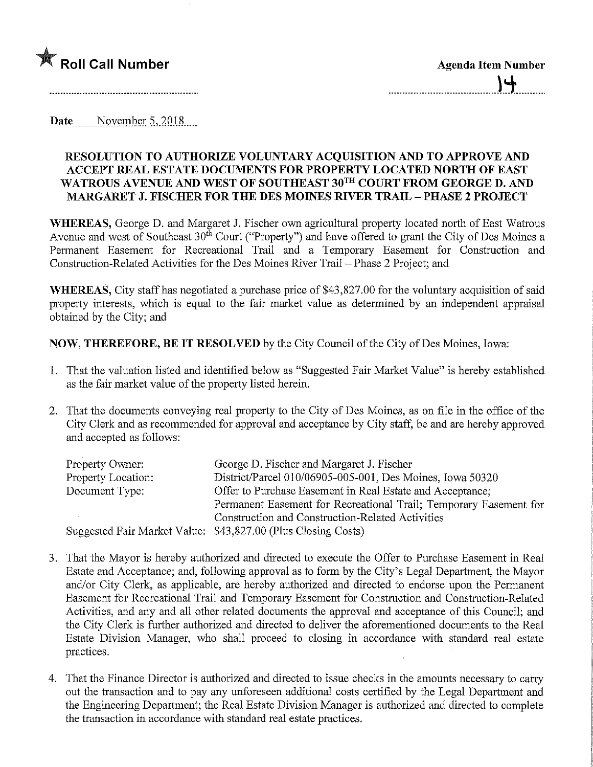

Date  $\sim$  November 5, 2018...

## RESOLUTION TO AUTHORIZE VOLUNTARY ACQUISITION AND TO APPROVE AND ACCEPT REAL ESTATE DOCUMENTS FOR PROPERTY LOCATED NORTH OF EAST WATROUS AVENUE AND WEST OF SOUTHEAST 30TH COURT FROM GEORGE D. AND MARGARET J. FISCHER FOR THE DES MOINES RIVER TRAIL - PHASE 2 PROJECT

WHEREAS, George D. and Margaret J. Fischer own agricultural property located north of East Watrous Avenue and west of Southeast 30<sup>th</sup> Court ("Property") and have offered to grant the City of Des Moines a Permanent Easement for Recreational Trail and a Temporary Easement for Construction and Construction-Related Activities for the Des Moines River Trail - Phase 2 Project; and

WHEREAS, City staff has negotiated a purchase price of \$43,827.00 for the voluntary acquisition of said property interests, which is equal to the fair market value as determined by an independent appraisal obtained by the City; and

NOW, THEREFORE, BE IT RESOLVED by the City Council of the City of Des Moines, Iowa:

- 1. That the valuation listed and identified below as "Suggested Fair Market Value" is hereby established as the fair market value of the property listed herein.
- 2. That the documents conveying real property to the City of Des Moines, as on file in the office of the City Clerk and as recommended for approval and acceptance by City staff, be and are hereby approved and accepted as follows:

| Property Owner:    | George D. Fischer and Margaret J. Fischer                         |
|--------------------|-------------------------------------------------------------------|
| Property Location: | District/Parcel 010/06905-005-001, Des Moines, Iowa 50320         |
| Document Type:     | Offer to Purchase Easement in Real Estate and Acceptance;         |
|                    | Permanent Easement for Recreational Trail; Temporary Easement for |
|                    | Construction and Construction-Related Activities                  |
|                    | Suggested Fair Market Value: \$43,827.00 (Plus Closing Costs)     |

- 3. That the Mayor is hereby authorized and directed to execute the Offer to Purchase Easement m Real Estate and Acceptance; and, following approval as to form by the City's Legal Department, the Mayor and/or City Clerk, as applicable, are hereby authorized and directed to endorse upon the Permanent Easement for Recreational Trail and Temporary Easement for Construction and Constmction-Related Activities, and any and all other related documents the approval and acceptance of this Council; and the City Clerk is further authorized and directed to deliver the aforementioned documents to the Real Estate Division Manager, who shall proceed to closing in accordance with standard real estate practices.
- 4. That the Finance Director is authorized and directed to issue checks in the amounts necessary to carry out the transaction and to pay any unforeseen additional costs certified by the Legal Department and the Engineering Department; the Real Estate Division Manager is authorized and directed to complete the transaction in accordance with standard real estate practices.